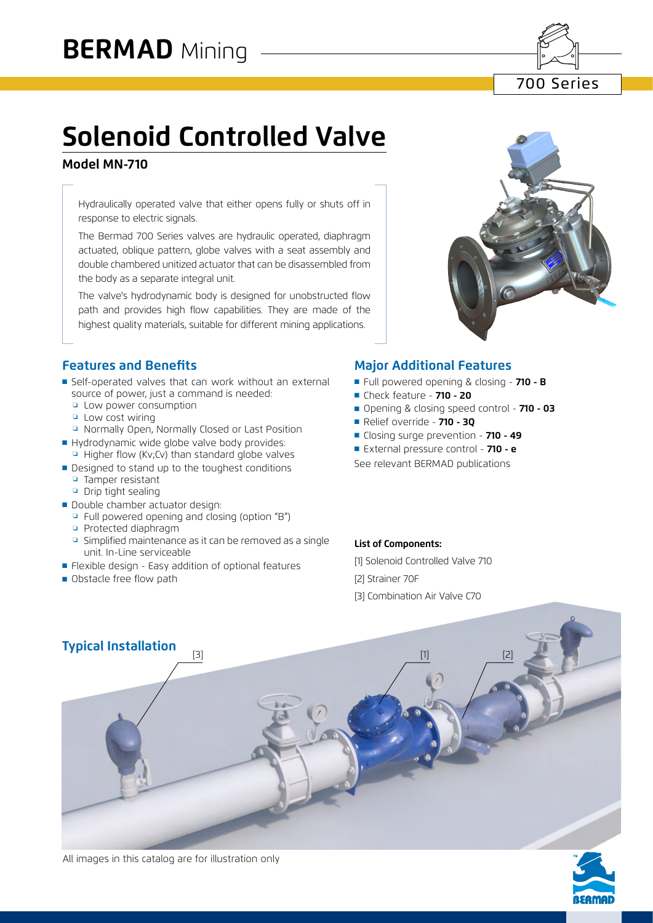700 Series

# **Solenoid Controlled Valve**

#### **Model MN-710**

Hydraulically operated valve that either opens fully or shuts off in response to electric signals.

The Bermad 700 Series valves are hydraulic operated, diaphragm actuated, oblique pattern, globe valves with a seat assembly and double chambered unitized actuator that can be disassembled from the body as a separate integral unit.

The valve's hydrodynamic body is designed for unobstructed flow path and provides high flow capabilities. They are made of the highest quality materials, suitable for different mining applications.

#### **Features and Benefits**

- Self-operated valves that can work without an external source of power, just a command is needed:
	- ❏ Low power consumption
	- ❏ Low cost wiring
	- ❏ Normally Open, Normally Closed or Last Position
- Hydrodynamic wide globe valve body provides:  $\Box$  Higher flow (Kv;Cv) than standard globe valves
- Designed to stand up to the toughest conditions
	- ❏ Tamper resistant
	- ❏ Drip tight sealing
- Double chamber actuator design:
	- ❏ Full powered opening and closing (option "B")
	- ❏ Protected diaphragm
	- ❏ Simplified maintenance as it can be removed as a single unit. In-Line serviceable
- Flexible design Easy addition of optional features
- Obstacle free flow path



#### **Major Additional Features**

- Full powered opening & closing **710 B**
- ■ Check feature **710 20**
- Opening & closing speed control **710 03**
- ■ Relief override - **710 3Q**
- Closing surge prevention **710 49**
- External pressure control 710 e

See relevant BERMAD publications

#### **List of Components:**

- [1] Solenoid Controlled Valve 710 [2] Strainer 70F
- [3] Combination Air Valve C70





All images in this catalog are for illustration only